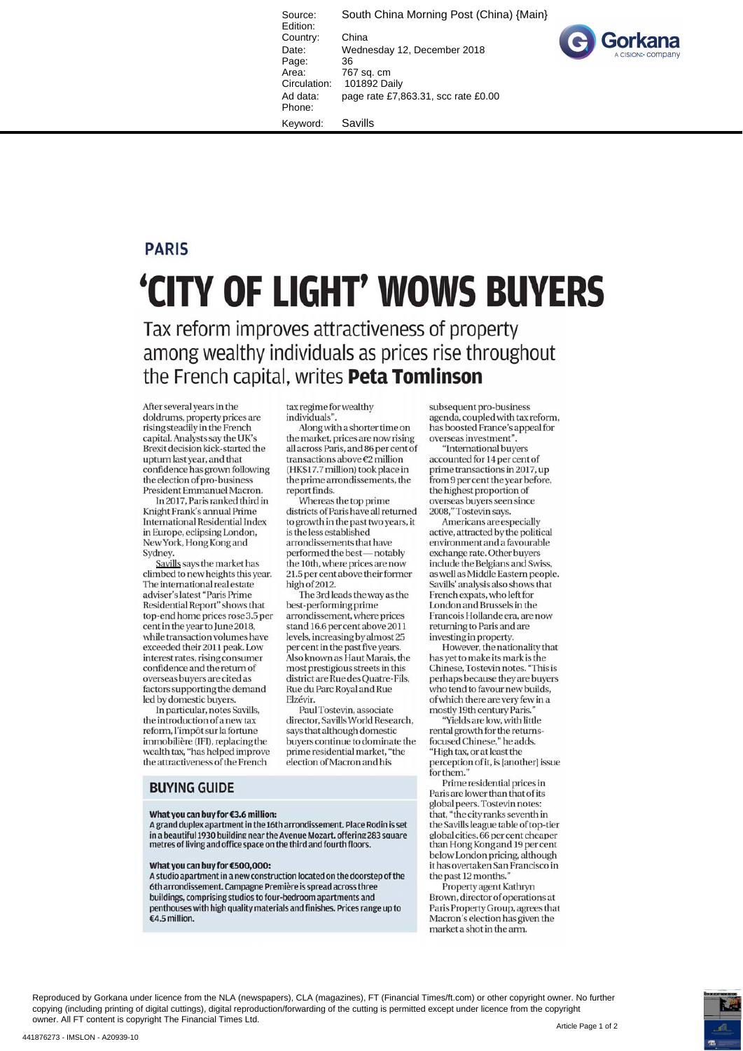Source: South China Morning Post (China) {Main} Edition: Country: China Date: Wednesday 12, December 2018 Page: 36<br>Area: 76 Area: 767 sq. cm<br>Circulation: 101892 Da 101892 Daily Ad data: page rate £7,863.31, scc rate £0.00 Phone:



Keyword: Savills

## **PARIS**

# **'CITY OF LIGHT' WOWS BUYERS**

Tax reform improves attractiveness of property among wealthy individuals as prices rise throughout the French capital, writes **Peta Tomlinson** 

After several years in the doldrums, property prices are rising steadily in the French capital. Analysts say the UK's Brexit decision kick-started the upturn last year, and that confidence has grown following the election of pro-business President Emmanuel Macron.

In 2017, Paris ranked third in Knight Frank's annual Prime International Residential Index in Europe, eclipsing London, New York, Hong Kong and **Sydney** 

Savills says the market has climbed to new heights this year. The international real estate adviser's latest "Paris Prime Residential Report" shows that top-endhome prices rose 3.5 per cent in the year to June 2018, while transaction volumes have exceeded their 2011 peak. Low interest rates, rising consumer confidence and the return of overseas buyers are cited as factors supporting the demand led by domestic buyers.

In particular, notes Savills, the introduction of a new tax reform, l'impôt sur la fortune immobiliere (IFI), replacing the wealth tax, "has helped improve the attractiveness of the French

tax regime for wealthy individuals".

Along with a shorter time on the market, prices are now rising all across Paris, and 86 per cent of transactions above €2 million (HK\$17.7 million) took place in the prime arrondissements, the report finds.

Whereas the top prime districts of Paris have all returned to growth in the past two years, it is the less established arrondissements that have performed the best—notably the 10th, where prices are now 21.5 per cent above their former high of 2012.

The 3rd leads the way as the best-performing prime arrondissement, where prices stand 16.6 per cent above 2011 levels, increasing by almost 25 per cent in the past five years. Also known as Haut Marais, the most prestigious streets in this district are Rue des Quatre-Fils, Rue du Pare Royal and Rue **Elzévir.** 

PaulTostevin, associate director, Savills World Research, says that although domestic buyers continue to dominate the prime residential market, "the election of Macron and his

subsequent pro-business agenda, coupled with tax reform, has boosted France's appeal for overseas investment".

"International buyers accounted for 14 per cent of prime transactions in 2017, up from 9 per cent the year before, the highest proportion of overseas buyers seen since 2008," Tostevin says.

Americans are especially active, attracted by the political environment and a favourable exchange rate. Other buyers include the Belgians and Swiss, as well as Middle Eastern people. Savills' analysis also shows that French expats, who left for London and Brussels in the Francois Hollande era, are now returning to Paris and are investing in property.

However, the nationality that has yet to make its mark is the Chinese, Tostevin notes. "This is perhaps because they are buyers who tend to favour new builds, of which there are very few in a mostly 19th century Paris."

"Yields are low, with little rental growth for the returnsfocused Chinese," he adds. "High tax, or at least the perception of it, is [another] issue for them."

Prime residential prices in Paris are lower than that of its global peers. Tostevin notes: that, "the city ranks seventh in the Savills league table of top-tier global cities, 66 per cent cheaper below London pricing, although it has overtaken San Francisco in the past 12 months.

Property agent Kathryn Brown, director of operations at Paris Property Group, agrees that Macron's election has given the market a shot in the arm.

## **BUYING GUIDE**

### **What you can buy for €3.6 million:**

A grand duplex apartment in the 16th arrondissement. Place Rodin is set in a beautiful 1930 building near the Avenue Mozart, offering 283 square global cities, 66 per cent cheaper<br>metres of living and office space on the third and fourth floors. than Hong Kong a metres of living and office space on the third and fourth floors.

#### **What you can buy for €500,000:**

A studio apartment in a new construction located on the doorstep of the 6th arrondissement. Campagne Premiere is spread across three buildings, comprising studios to four-bedroom apartments and penthouses with high quality materials and finishes. Prices range up to €4.5 million.

Reproduced by Gorkana under licence from the NLA (newspapers), CLA (magazines), FT (Financial Times/ft.com) or other copyright owner. No further copying (including printing of digital cuttings), digital reproduction/forwarding of the cutting is permitted except under licence from the copyright owner. All FT content is copyright The Financial Times Ltd.